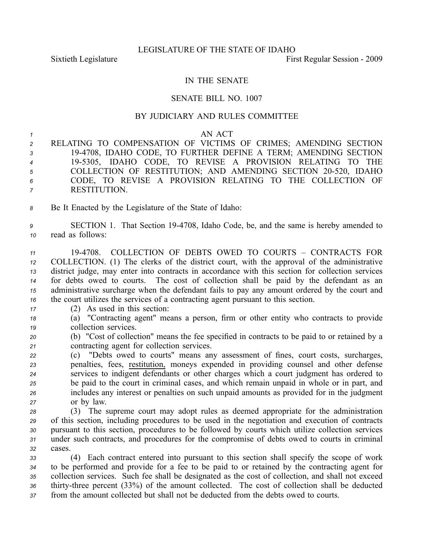## IN THE SENATE

## SENATE BILL NO. 1007

## BY JUDICIARY AND RULES COMMITTEE

## *1* AN ACT

- *<sup>2</sup>* RELATING TO COMPENSATION OF VICTIMS OF CRIMES; AMENDING SECTION *<sup>3</sup>* 194708, IDAHO CODE, TO FURTHER DEFINE A TERM; AMENDING SECTION *<sup>4</sup>* 195305, IDAHO CODE, TO REVISE A PROVISION RELATING TO THE 5 COLLECTION OF RESTITUTION; AND AMENDING SECTION 20-520, IDAHO *<sup>6</sup>* CODE, TO REVISE A PROVISION RELATING TO THE COLLECTION OF *<sup>7</sup>* RESTITUTION.
- *<sup>8</sup>* Be It Enacted by the Legislature of the State of Idaho:
- *<sup>9</sup>* SECTION 1. That Section 194708, Idaho Code, be, and the same is hereby amended to *<sup>10</sup>* read as follows:
- *<sup>11</sup>* 194708. COLLECTION OF DEBTS OWED TO COURTS CONTRACTS FOR *<sup>12</sup>* COLLECTION. (1) The clerks of the district court, with the approval of the administrative *<sup>13</sup>* district judge, may enter into contracts in accordance with this section for collection services *<sup>14</sup>* for debts owed to courts. The cost of collection shall be paid by the defendant as an *<sup>15</sup>* administrative surcharge when the defendant fails to pay any amount ordered by the court and *<sup>16</sup>* the court utilizes the services of <sup>a</sup> contracting agen<sup>t</sup> pursuan<sup>t</sup> to this section.
- *<sup>17</sup>* (2) As used in this section:
- *<sup>18</sup>* (a) "Contracting agent" means <sup>a</sup> person, firm or other entity who contracts to provide *<sup>19</sup>* collection services.
- *<sup>20</sup>* (b) "Cost of collection" means the fee specified in contracts to be paid to or retained by <sup>a</sup> *<sup>21</sup>* contracting agen<sup>t</sup> for collection services.
- *<sup>22</sup>* (c) "Debts owed to courts" means any assessment of fines, court costs, surcharges, *<sup>23</sup>* penalties, fees, restitution, moneys expended in providing counsel and other defense *<sup>24</sup>* services to indigent defendants or other charges which <sup>a</sup> court judgment has ordered to *<sup>25</sup>* be paid to the court in criminal cases, and which remain unpaid in whole or in part, and *<sup>26</sup>* includes any interest or penalties on such unpaid amounts as provided for in the judgment *<sup>27</sup>* or by law.
- *<sup>28</sup>* (3) The supreme court may adopt rules as deemed appropriate for the administration *<sup>29</sup>* of this section, including procedures to be used in the negotiation and execution of contracts *<sup>30</sup>* pursuan<sup>t</sup> to this section, procedures to be followed by courts which utilize collection services *<sup>31</sup>* under such contracts, and procedures for the compromise of debts owed to courts in criminal *32* cases.
- *<sup>33</sup>* (4) Each contract entered into pursuan<sup>t</sup> to this section shall specify the scope of work *<sup>34</sup>* to be performed and provide for <sup>a</sup> fee to be paid to or retained by the contracting agen<sup>t</sup> for *<sup>35</sup>* collection services. Such fee shall be designated as the cost of collection, and shall not exceed 36 thirty-three percent (33%) of the amount collected. The cost of collection shall be deducted *<sup>37</sup>* from the amount collected but shall not be deducted from the debts owed to courts.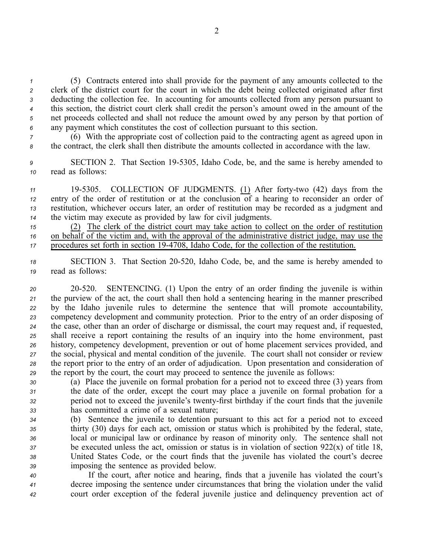(5) Contracts entered into shall provide for the paymen<sup>t</sup> of any amounts collected to the clerk of the district court for the court in which the debt being collected originated after first deducting the collection fee. In accounting for amounts collected from any person pursuan<sup>t</sup> to this section, the district court clerk shall credit the person's amount owed in the amount of the net proceeds collected and shall not reduce the amount owed by any person by that portion of any paymen<sup>t</sup> which constitutes the cost of collection pursuan<sup>t</sup> to this section.

*<sup>7</sup>* (6) With the appropriate cost of collection paid to the contracting agen<sup>t</sup> as agreed upon in *<sup>8</sup>* the contract, the clerk shall then distribute the amounts collected in accordance with the law.

*<sup>9</sup>* SECTION 2. That Section 195305, Idaho Code, be, and the same is hereby amended to *<sup>10</sup>* read as follows:

11 19-5305. COLLECTION OF JUDGMENTS. (1) After forty-two (42) days from the entry of the order of restitution or at the conclusion of <sup>a</sup> hearing to reconsider an order of restitution, whichever occurs later, an order of restitution may be recorded as <sup>a</sup> judgment and the victim may execute as provided by law for civil judgments.

*<sup>15</sup>* (2) The clerk of the district court may take action to collect on the order of restitution *<sup>16</sup>* on behalf of the victim and, with the approval of the administrative district judge, may use the *<sup>17</sup>* procedures set forth in section 194708, Idaho Code, for the collection of the restitution.

*<sup>18</sup>* SECTION 3. That Section 20520, Idaho Code, be, and the same is hereby amended to *<sup>19</sup>* read as follows:

 20520. SENTENCING. (1) Upon the entry of an order finding the juvenile is within the purview of the act, the court shall then hold <sup>a</sup> sentencing hearing in the manner prescribed by the Idaho juvenile rules to determine the sentence that will promote accountability, competency development and community protection. Prior to the entry of an order disposing of the case, other than an order of discharge or dismissal, the court may reques<sup>t</sup> and, if requested, shall receive <sup>a</sup> repor<sup>t</sup> containing the results of an inquiry into the home environment, pas<sup>t</sup> history, competency development, prevention or out of home placement services provided, and the social, physical and mental condition of the juvenile. The court shall not consider or review the repor<sup>t</sup> prior to the entry of an order of adjudication. Upon presentation and consideration of the repor<sup>t</sup> by the court, the court may proceed to sentence the juvenile as follows:

 (a) Place the juvenile on formal probation for <sup>a</sup> period not to exceed three (3) years from the date of the order, excep<sup>t</sup> the court may place <sup>a</sup> juvenile on formal probation for <sup>a</sup> period not to exceed the juvenile's twenty-first birthday if the court finds that the juvenile has committed <sup>a</sup> crime of <sup>a</sup> sexual nature;

 (b) Sentence the juvenile to detention pursuan<sup>t</sup> to this act for <sup>a</sup> period not to exceed thirty (30) days for each act, omission or status which is prohibited by the federal, state, local or municipal law or ordinance by reason of minority only. The sentence shall not be executed unless the act, omission or status is in violation of section 922(x) of title 18, United States Code, or the court finds that the juvenile has violated the court's decree imposing the sentence as provided below.

*<sup>40</sup>* If the court, after notice and hearing, finds that <sup>a</sup> juvenile has violated the court's *<sup>41</sup>* decree imposing the sentence under circumstances that bring the violation under the valid *<sup>42</sup>* court order exception of the federal juvenile justice and delinquency prevention act of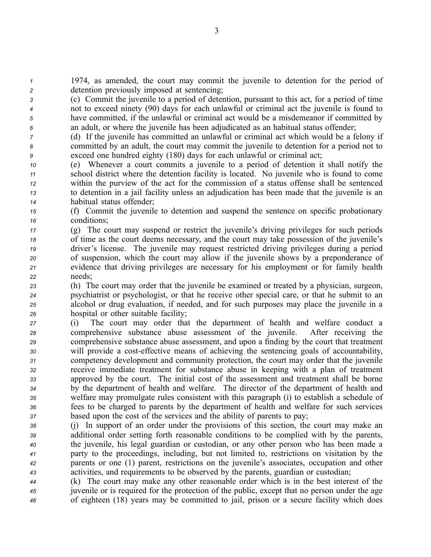*<sup>1</sup>* 1974, as amended, the court may commit the juvenile to detention for the period of *<sup>2</sup>* detention previously imposed at sentencing;

 (c) Commit the juvenile to <sup>a</sup> period of detention, pursuan<sup>t</sup> to this act, for <sup>a</sup> period of time not to exceed ninety (90) days for each unlawful or criminal act the juvenile is found to have committed, if the unlawful or criminal act would be <sup>a</sup> misdemeanor if committed by an adult, or where the juvenile has been adjudicated as an habitual status offender;

*<sup>7</sup>* (d) If the juvenile has committed an unlawful or criminal act which would be <sup>a</sup> felony if *<sup>8</sup>* committed by an adult, the court may commit the juvenile to detention for <sup>a</sup> period not to *<sup>9</sup>* exceed one hundred eighty (180) days for each unlawful or criminal act;

 (e) Whenever <sup>a</sup> court commits <sup>a</sup> juvenile to <sup>a</sup> period of detention it shall notify the school district where the detention facility is located. No juvenile who is found to come within the purview of the act for the commission of <sup>a</sup> status offense shall be sentenced to detention in <sup>a</sup> jail facility unless an adjudication has been made that the juvenile is an habitual status offender;

*<sup>15</sup>* (f) Commit the juvenile to detention and suspend the sentence on specific probationary *<sup>16</sup>* conditions;

- *<sup>17</sup>* (g) The court may suspend or restrict the juvenile's driving privileges for such periods *<sup>18</sup>* of time as the court deems necessary, and the court may take possession of the juvenile's *<sup>19</sup>* driver's license. The juvenile may reques<sup>t</sup> restricted driving privileges during <sup>a</sup> period *<sup>20</sup>* of suspension, which the court may allow if the juvenile shows by <sup>a</sup> preponderance of *<sup>21</sup>* evidence that driving privileges are necessary for his employment or for family health *<sup>22</sup>* needs;
- *<sup>23</sup>* (h) The court may order that the juvenile be examined or treated by <sup>a</sup> physician, surgeon, *<sup>24</sup>* psychiatrist or psychologist, or that he receive other special care, or that he submit to an *<sup>25</sup>* alcohol or drug evaluation, if needed, and for such purposes may place the juvenile in <sup>a</sup> *<sup>26</sup>* hospital or other suitable facility;
- *<sup>27</sup>* (i) The court may order that the department of health and welfare conduct <sup>a</sup> *<sup>28</sup>* comprehensive substance abuse assessment of the juvenile. After receiving the *<sup>29</sup>* comprehensive substance abuse assessment, and upon <sup>a</sup> finding by the court that treatment *<sup>30</sup>* will provide <sup>a</sup> costeffective means of achieving the sentencing goals of accountability, *<sup>31</sup>* competency development and community protection, the court may order that the juvenile *<sup>32</sup>* receive immediate treatment for substance abuse in keeping with <sup>a</sup> plan of treatment *<sup>33</sup>* approved by the court. The initial cost of the assessment and treatment shall be borne *<sup>34</sup>* by the department of health and welfare. The director of the department of health and *<sup>35</sup>* welfare may promulgate rules consistent with this paragraph (i) to establish <sup>a</sup> schedule of *<sup>36</sup>* fees to be charged to parents by the department of health and welfare for such services *<sup>37</sup>* based upon the cost of the services and the ability of parents to pay;
- *<sup>38</sup>* (j) In suppor<sup>t</sup> of an order under the provisions of this section, the court may make an *<sup>39</sup>* additional order setting forth reasonable conditions to be complied with by the parents, *<sup>40</sup>* the juvenile, his legal guardian or custodian, or any other person who has been made <sup>a</sup> *<sup>41</sup>* party to the proceedings, including, but not limited to, restrictions on visitation by the *<sup>42</sup>* parents or one (1) parent, restrictions on the juvenile's associates, occupation and other *<sup>43</sup>* activities, and requirements to be observed by the parents, guardian or custodian;
- *<sup>44</sup>* (k) The court may make any other reasonable order which is in the best interest of the *<sup>45</sup>* juvenile or is required for the protection of the public, excep<sup>t</sup> that no person under the age *<sup>46</sup>* of eighteen (18) years may be committed to jail, prison or <sup>a</sup> secure facility which does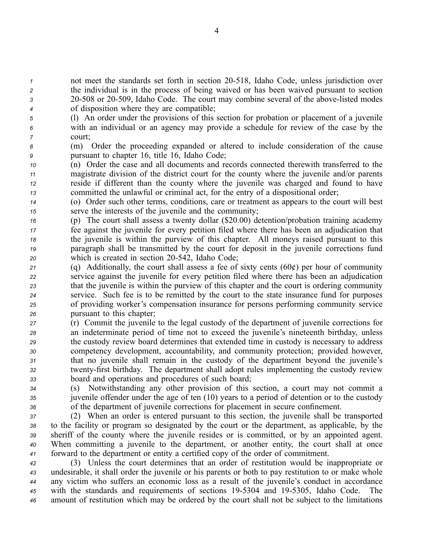not meet the standards set forth in section 20518, Idaho Code, unless jurisdiction over the individual is in the process of being waived or has been waived pursuan<sup>t</sup> to section 20508 or 20509, Idaho Code. The court may combine several of the abovelisted modes of disposition where they are compatible;

- *<sup>5</sup>* (l) An order under the provisions of this section for probation or placement of <sup>a</sup> juvenile *<sup>6</sup>* with an individual or an agency may provide <sup>a</sup> schedule for review of the case by the *<sup>7</sup>* court;
- *<sup>8</sup>* (m) Order the proceeding expanded or altered to include consideration of the cause *<sup>9</sup>* pursuan<sup>t</sup> to chapter 16, title 16, Idaho Code;
- *<sup>10</sup>* (n) Order the case and all documents and records connected therewith transferred to the *<sup>11</sup>* magistrate division of the district court for the county where the juvenile and/or parents *<sup>12</sup>* reside if different than the county where the juvenile was charged and found to have *<sup>13</sup>* committed the unlawful or criminal act, for the entry of <sup>a</sup> dispositional order;
- *<sup>14</sup>* (o) Order such other terms, conditions, care or treatment as appears to the court will best *<sup>15</sup>* serve the interests of the juvenile and the community;
- *<sup>16</sup>* (p) The court shall assess <sup>a</sup> twenty dollar (\$20.00) detention/probation training academy *<sup>17</sup>* fee against the juvenile for every petition filed where there has been an adjudication that *<sup>18</sup>* the juvenile is within the purview of this chapter. All moneys raised pursuan<sup>t</sup> to this *<sup>19</sup>* paragraph shall be transmitted by the court for deposit in the juvenile corrections fund *<sup>20</sup>* which is created in section 20542, Idaho Code;
- *<sup>21</sup>* (q) Additionally, the court shall assess <sup>a</sup> fee of sixty cents (60¢) per hour of community *<sup>22</sup>* service against the juvenile for every petition filed where there has been an adjudication *<sup>23</sup>* that the juvenile is within the purview of this chapter and the court is ordering community *<sup>24</sup>* service. Such fee is to be remitted by the court to the state insurance fund for purposes *<sup>25</sup>* of providing worker's compensation insurance for persons performing community service *<sup>26</sup>* pursuan<sup>t</sup> to this chapter;
- *<sup>27</sup>* (r) Commit the juvenile to the legal custody of the department of juvenile corrections for *<sup>28</sup>* an indeterminate period of time not to exceed the juvenile's nineteenth birthday, unless *<sup>29</sup>* the custody review board determines that extended time in custody is necessary to address *<sup>30</sup>* competency development, accountability, and community protection; provided however, *<sup>31</sup>* that no juvenile shall remain in the custody of the department beyond the juvenile's *<sup>32</sup>* twentyfirst birthday. The department shall adopt rules implementing the custody review *<sup>33</sup>* board and operations and procedures of such board;
- *<sup>34</sup>* (s) Notwithstanding any other provision of this section, <sup>a</sup> court may not commit <sup>a</sup> *<sup>35</sup>* juvenile offender under the age of ten (10) years to <sup>a</sup> period of detention or to the custody *<sup>36</sup>* of the department of juvenile corrections for placement in secure confinement.
- *<sup>37</sup>* (2) When an order is entered pursuan<sup>t</sup> to this section, the juvenile shall be transported *<sup>38</sup>* to the facility or program so designated by the court or the department, as applicable, by the *<sup>39</sup>* sheriff of the county where the juvenile resides or is committed, or by an appointed agent. *<sup>40</sup>* When committing <sup>a</sup> juvenile to the department, or another entity, the court shall at once *<sup>41</sup>* forward to the department or entity <sup>a</sup> certified copy of the order of commitment.
- *<sup>42</sup>* (3) Unless the court determines that an order of restitution would be inappropriate or *<sup>43</sup>* undesirable, it shall order the juvenile or his parents or both to pay restitution to or make whole *<sup>44</sup>* any victim who suffers an economic loss as <sup>a</sup> result of the juvenile's conduct in accordance *<sup>45</sup>* with the standards and requirements of sections 195304 and 195305, Idaho Code. The *<sup>46</sup>* amount of restitution which may be ordered by the court shall not be subject to the limitations